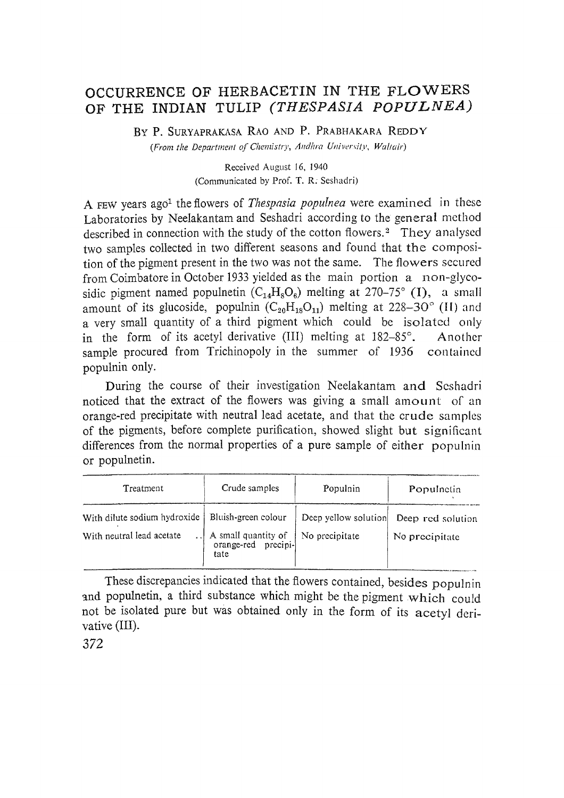## OCCURRENCE OF HERBACETIN IN THE FLOWERS OF THE INDIAN TULIP *(THESPASIA POPULNEA)*

By P. SURYAPRAKASA RAO AND P. PRABHAKARA REDDY *(From the Department of Chemistry, A/ldlzra University, Waf/air)*

> Received August 16, 1940 (Communicated by Prof. T. R. Seshadri)

A FEW years ago1 the flowers of *Thespasia populnea* were examined in these Laboratories by Neelakantam and Seshadri according to the general method described in connection with the study of the cotton flowers.<sup>2</sup> They analysed two samples collected in two different seasons and found that the composition of the pigment present in the two was not the same. The flowers secured from Coimbatore in October 1933 yielded as the main portion a non-glycosidic pigment named populnetin  $(C_{14}H_8O_6)$  melting at 270–75° (I), a small amount of its glucoside, populnin  $(C_{20}H_{18}O_{11})$  melting at 228-30° (II) and a very small quantity of a third pigment which could be isolated only in the form of its acetyl derivative (III) melting at 182-85°. Another sample procured from Trichinopoly in the summer of 1936 contained populnin only.

During the course of their investigation Neelakantam and Seshadri noticed that the extract of the flowers was giving a small amount of an orange-red precipitate with neutral lead acetate, and that the crude samples of the pigments, before complete purification, showed slight but significant differences from the normal properties of a pure sample of either populnin or populnetin. or populnetin.

| Treatment                                                 | Crude samples                                                             | Populnin                               | Populnetin                          |
|-----------------------------------------------------------|---------------------------------------------------------------------------|----------------------------------------|-------------------------------------|
| With dilute sodium hydroxide<br>With neutral lead acetate | Bluish-green colour<br>A small quantity of<br>orange-red precipi-<br>tate | Deep yellow solution<br>No precipitate | Deep red solution<br>No precipitate |

These discrepancies indicated that the flowers contained, besides populnin and populnetin, a third substance which might be the pigment which could not be isolated pure but was obtained only in the form of its acetyl derivative (III).

372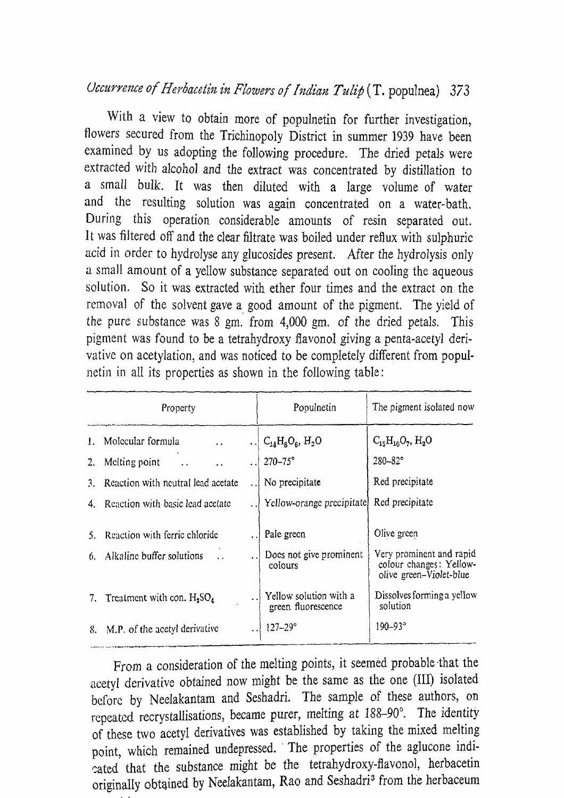With a view to obtain more of populnetin for further investigation, flowers secured from the Trichinopoly District in summer 1939 have been examined by us adopting the following procedure. The dried petals were extracted with alcohol and the extract was concentrated by distillation to a small bulk. It was then diluted with a large volume of water and the resulting solution was again concentrated on a water-bath. During this operation considerable amounts of resin separated out. It was filtered off and the clear filtrate was boiled under reflux with sulphuric acid in order to hydrolyse any glucosides present. After the hydrolysis only a small amount of a yellow substance separated out on cooling the aqueous solution. So it was extracted with ether four times and the extract on the removal of the solvent gave a. good amount of the pigment. The yield of the pure substance was 8 gm. from 4,000 gm. of the dried petals. This pigment was found to be a tetrahydroxy flavonol giving a penta-acetyl derivative on acetylation, and was noticed to be completely different from popul~ netin in all its properties as shown in the following table:

| Property |                                           | Populnetin                                   | The pigment isolated now                                                       |
|----------|-------------------------------------------|----------------------------------------------|--------------------------------------------------------------------------------|
| L.       | Molecular formula<br>$\ddot{\phantom{0}}$ | $C_{14}H_8O_6$ , $H_2O$                      | $C_{15}H_{10}O_7$ , H <sub>2</sub> O                                           |
| 2.       | Melting point<br>$\ddot{\phantom{a}}$     | $270 - 75^{\circ}$                           | $280 - 82^{\circ}$                                                             |
| 3.       | Reaction with neutral lead acetate        | No precipitate                               | Red precipitate                                                                |
|          | 4. Reaction with basic lead acetate       | Yellow-orange precipitate                    | Red precipitate                                                                |
|          | Reaction with ferric chloride             | Pale green                                   | Olive green                                                                    |
| 6.       | Alkaline buffer solutions                 | Does not give prominent<br>colours           | Very prominent and rapid<br>colour changes: Yellow-<br>olive green-Violet-blue |
| 7.       | Treatment with con. $H_2SO_4$             | Yellow solution with a<br>green fluorescence | Dissolves forming a yellow<br>solution                                         |
| 8.       | M.P. of the acetyl derivative             | $127 - 29$ °                                 | $190 - 93^{\circ}$                                                             |
|          |                                           |                                              |                                                                                |

From a consideration of the melting points, it seemed probable ·that the acetyl derivative obtained now might be the same as the one (III) isolated before by Neelakantam and Seshadri. The sample of these authors, on repeated recrystalIisations, became purer, melting at 188-90°. The identity of these two acetyl derivatives was established by taking the mixed melting point, which remained undepressed. The properties of the aglucone indicated that the substance might be the tetrahydroxy-flavonol, herbacetin originally obtained by Neelakantam, Rao and Seshadri<sup>3</sup> from the herbaceum